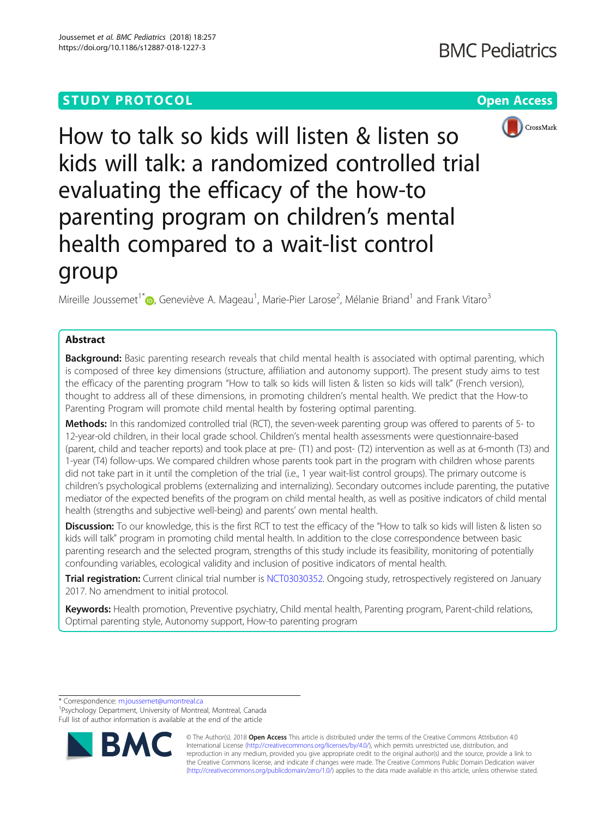

How to talk so kids will listen & listen so kids will talk: a randomized controlled trial evaluating the efficacy of the how-to parenting program on children's mental health compared to a wait-list control group

Mireille Joussemet<sup>1[\\*](http://orcid.org/0000-0003-4407-6149)</sup> (D), Geneviève A. Mageau<sup>1</sup>, Marie-Pier Larose<sup>2</sup>, Mélanie Briand<sup>1</sup> and Frank Vitaro<sup>3</sup>

# Abstract

Background: Basic parenting research reveals that child mental health is associated with optimal parenting, which is composed of three key dimensions (structure, affiliation and autonomy support). The present study aims to test the efficacy of the parenting program "How to talk so kids will listen & listen so kids will talk" (French version), thought to address all of these dimensions, in promoting children's mental health. We predict that the How-to Parenting Program will promote child mental health by fostering optimal parenting.

Methods: In this randomized controlled trial (RCT), the seven-week parenting group was offered to parents of 5- to 12-year-old children, in their local grade school. Children's mental health assessments were questionnaire-based (parent, child and teacher reports) and took place at pre- (T1) and post- (T2) intervention as well as at 6-month (T3) and 1-year (T4) follow-ups. We compared children whose parents took part in the program with children whose parents did not take part in it until the completion of the trial (i.e., 1 year wait-list control groups). The primary outcome is children's psychological problems (externalizing and internalizing). Secondary outcomes include parenting, the putative mediator of the expected benefits of the program on child mental health, as well as positive indicators of child mental health (strengths and subjective well-being) and parents' own mental health.

**Discussion:** To our knowledge, this is the first RCT to test the efficacy of the "How to talk so kids will listen & listen so kids will talk" program in promoting child mental health. In addition to the close correspondence between basic parenting research and the selected program, strengths of this study include its feasibility, monitoring of potentially confounding variables, ecological validity and inclusion of positive indicators of mental health.

Trial registration: Current clinical trial number is [NCT03030352](https://clinicaltrials.gov/ct2/show/NCT03030352). Ongoing study, retrospectively registered on January 2017. No amendment to initial protocol.

Keywords: Health promotion, Preventive psychiatry, Child mental health, Parenting program, Parent-child relations, Optimal parenting style, Autonomy support, How-to parenting program

\* Correspondence: [m.joussemet@umontreal.ca](mailto:m.joussemet@umontreal.ca) <sup>1</sup>

<sup>1</sup> Psychology Department, University of Montreal, Montreal, Canada Full list of author information is available at the end of the article



© The Author(s). 2018 Open Access This article is distributed under the terms of the Creative Commons Attribution 4.0 International License [\(http://creativecommons.org/licenses/by/4.0/](http://creativecommons.org/licenses/by/4.0/)), which permits unrestricted use, distribution, and reproduction in any medium, provided you give appropriate credit to the original author(s) and the source, provide a link to the Creative Commons license, and indicate if changes were made. The Creative Commons Public Domain Dedication waiver [\(http://creativecommons.org/publicdomain/zero/1.0/](http://creativecommons.org/publicdomain/zero/1.0/)) applies to the data made available in this article, unless otherwise stated.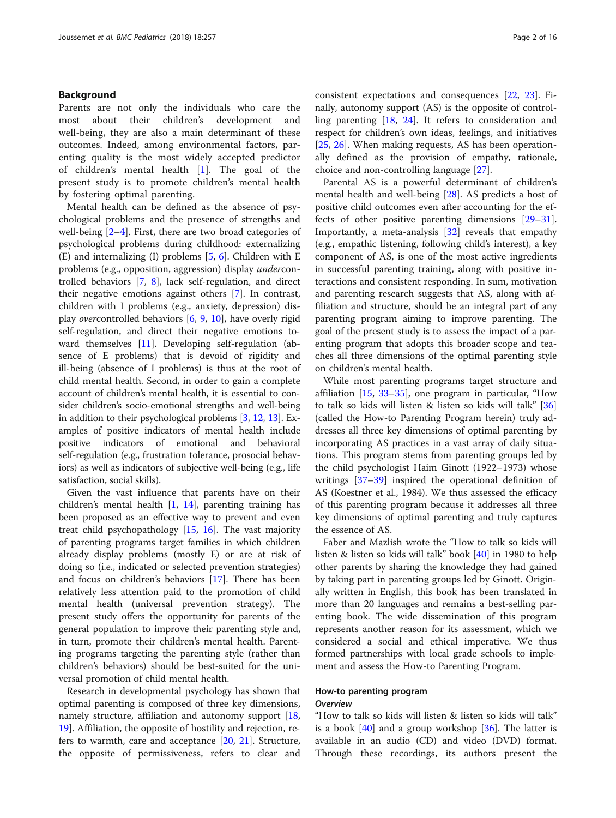# Background

Parents are not only the individuals who care the most about their children's development and well-being, they are also a main determinant of these outcomes. Indeed, among environmental factors, parenting quality is the most widely accepted predictor of children's mental health [[1\]](#page-14-0). The goal of the present study is to promote children's mental health by fostering optimal parenting.

Mental health can be defined as the absence of psychological problems and the presence of strengths and well-being  $[2-4]$  $[2-4]$  $[2-4]$  $[2-4]$ . First, there are two broad categories of psychological problems during childhood: externalizing (E) and internalizing (I) problems [\[5](#page-14-0), [6\]](#page-14-0). Children with E problems (e.g., opposition, aggression) display undercontrolled behaviors [[7](#page-14-0), [8](#page-14-0)], lack self-regulation, and direct their negative emotions against others [[7\]](#page-14-0). In contrast, children with I problems (e.g., anxiety, depression) display overcontrolled behaviors [\[6](#page-14-0), [9](#page-14-0), [10\]](#page-14-0), have overly rigid self-regulation, and direct their negative emotions toward themselves [[11](#page-14-0)]. Developing self-regulation (absence of E problems) that is devoid of rigidity and ill-being (absence of I problems) is thus at the root of child mental health. Second, in order to gain a complete account of children's mental health, it is essential to consider children's socio-emotional strengths and well-being in addition to their psychological problems [\[3,](#page-14-0) [12](#page-14-0), [13\]](#page-14-0). Examples of positive indicators of mental health include positive indicators of emotional and behavioral self-regulation (e.g., frustration tolerance, prosocial behaviors) as well as indicators of subjective well-being (e.g., life satisfaction, social skills).

Given the vast influence that parents have on their children's mental health [[1](#page-14-0), [14\]](#page-14-0), parenting training has been proposed as an effective way to prevent and even treat child psychopathology [[15,](#page-14-0) [16](#page-14-0)]. The vast majority of parenting programs target families in which children already display problems (mostly E) or are at risk of doing so (i.e., indicated or selected prevention strategies) and focus on children's behaviors [[17](#page-14-0)]. There has been relatively less attention paid to the promotion of child mental health (universal prevention strategy). The present study offers the opportunity for parents of the general population to improve their parenting style and, in turn, promote their children's mental health. Parenting programs targeting the parenting style (rather than children's behaviors) should be best-suited for the universal promotion of child mental health.

Research in developmental psychology has shown that optimal parenting is composed of three key dimensions, namely structure, affiliation and autonomy support [[18](#page-14-0), [19\]](#page-14-0). Affiliation, the opposite of hostility and rejection, refers to warmth, care and acceptance  $[20, 21]$  $[20, 21]$  $[20, 21]$  $[20, 21]$  $[20, 21]$ . Structure, the opposite of permissiveness, refers to clear and consistent expectations and consequences [[22](#page-14-0), [23](#page-14-0)]. Finally, autonomy support (AS) is the opposite of controlling parenting [\[18](#page-14-0), [24](#page-14-0)]. It refers to consideration and respect for children's own ideas, feelings, and initiatives [[25,](#page-14-0) [26\]](#page-14-0). When making requests, AS has been operationally defined as the provision of empathy, rationale, choice and non-controlling language [[27\]](#page-14-0).

Parental AS is a powerful determinant of children's mental health and well-being [[28\]](#page-14-0). AS predicts a host of positive child outcomes even after accounting for the effects of other positive parenting dimensions [[29](#page-14-0)–[31](#page-15-0)]. Importantly, a meta-analysis [\[32](#page-15-0)] reveals that empathy (e.g., empathic listening, following child's interest), a key component of AS, is one of the most active ingredients in successful parenting training, along with positive interactions and consistent responding. In sum, motivation and parenting research suggests that AS, along with affiliation and structure, should be an integral part of any parenting program aiming to improve parenting. The goal of the present study is to assess the impact of a parenting program that adopts this broader scope and teaches all three dimensions of the optimal parenting style on children's mental health.

While most parenting programs target structure and affiliation [\[15](#page-14-0), [33](#page-15-0)–[35\]](#page-15-0), one program in particular, "How to talk so kids will listen & listen so kids will talk" [[36](#page-15-0)] (called the How-to Parenting Program herein) truly addresses all three key dimensions of optimal parenting by incorporating AS practices in a vast array of daily situations. This program stems from parenting groups led by the child psychologist Haim Ginott (1922–1973) whose writings [[37](#page-15-0)–[39](#page-15-0)] inspired the operational definition of AS (Koestner et al., 1984). We thus assessed the efficacy of this parenting program because it addresses all three key dimensions of optimal parenting and truly captures the essence of AS.

Faber and Mazlish wrote the "How to talk so kids will listen & listen so kids will talk" book [[40](#page-15-0)] in 1980 to help other parents by sharing the knowledge they had gained by taking part in parenting groups led by Ginott. Originally written in English, this book has been translated in more than 20 languages and remains a best-selling parenting book. The wide dissemination of this program represents another reason for its assessment, which we considered a social and ethical imperative. We thus formed partnerships with local grade schools to implement and assess the How-to Parenting Program.

# How-to parenting program **Overview**

"How to talk so kids will listen & listen so kids will talk" is a book [\[40\]](#page-15-0) and a group workshop [\[36](#page-15-0)]. The latter is available in an audio (CD) and video (DVD) format. Through these recordings, its authors present the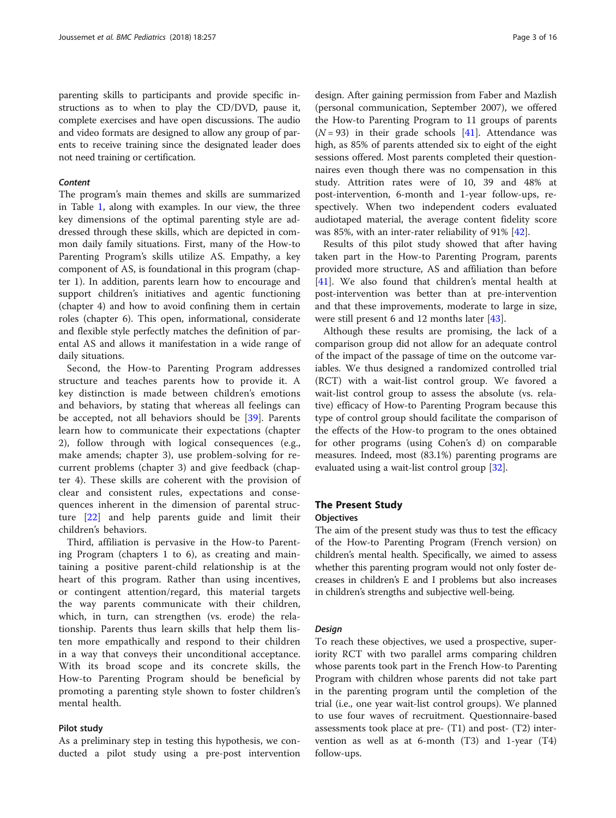parenting skills to participants and provide specific instructions as to when to play the CD/DVD, pause it, complete exercises and have open discussions. The audio and video formats are designed to allow any group of parents to receive training since the designated leader does not need training or certification.

### **Content**

The program's main themes and skills are summarized in Table [1,](#page-3-0) along with examples. In our view, the three key dimensions of the optimal parenting style are addressed through these skills, which are depicted in common daily family situations. First, many of the How-to Parenting Program's skills utilize AS. Empathy, a key component of AS, is foundational in this program (chapter 1). In addition, parents learn how to encourage and support children's initiatives and agentic functioning (chapter 4) and how to avoid confining them in certain roles (chapter 6). This open, informational, considerate and flexible style perfectly matches the definition of parental AS and allows it manifestation in a wide range of daily situations.

Second, the How-to Parenting Program addresses structure and teaches parents how to provide it. A key distinction is made between children's emotions and behaviors, by stating that whereas all feelings can be accepted, not all behaviors should be [[39\]](#page-15-0). Parents learn how to communicate their expectations (chapter 2), follow through with logical consequences (e.g., make amends; chapter 3), use problem-solving for recurrent problems (chapter 3) and give feedback (chapter 4). These skills are coherent with the provision of clear and consistent rules, expectations and consequences inherent in the dimension of parental structure [\[22](#page-14-0)] and help parents guide and limit their children's behaviors.

Third, affiliation is pervasive in the How-to Parenting Program (chapters 1 to 6), as creating and maintaining a positive parent-child relationship is at the heart of this program. Rather than using incentives, or contingent attention/regard, this material targets the way parents communicate with their children, which, in turn, can strengthen (vs. erode) the relationship. Parents thus learn skills that help them listen more empathically and respond to their children in a way that conveys their unconditional acceptance. With its broad scope and its concrete skills, the How-to Parenting Program should be beneficial by promoting a parenting style shown to foster children's mental health.

### Pilot study

As a preliminary step in testing this hypothesis, we conducted a pilot study using a pre-post intervention

design. After gaining permission from Faber and Mazlish (personal communication, September 2007), we offered the How-to Parenting Program to 11 groups of parents  $(N = 93)$  in their grade schools [[41](#page-15-0)]. Attendance was high, as 85% of parents attended six to eight of the eight sessions offered. Most parents completed their questionnaires even though there was no compensation in this study. Attrition rates were of 10, 39 and 48% at post-intervention, 6-month and 1-year follow-ups, respectively. When two independent coders evaluated audiotaped material, the average content fidelity score was 85%, with an inter-rater reliability of 91% [[42](#page-15-0)].

Results of this pilot study showed that after having taken part in the How-to Parenting Program, parents provided more structure, AS and affiliation than before [[41\]](#page-15-0). We also found that children's mental health at post-intervention was better than at pre-intervention and that these improvements, moderate to large in size, were still present 6 and 12 months later [\[43](#page-15-0)].

Although these results are promising, the lack of a comparison group did not allow for an adequate control of the impact of the passage of time on the outcome variables. We thus designed a randomized controlled trial (RCT) with a wait-list control group. We favored a wait-list control group to assess the absolute (vs. relative) efficacy of How-to Parenting Program because this type of control group should facilitate the comparison of the effects of the How-to program to the ones obtained for other programs (using Cohen's d) on comparable measures. Indeed, most (83.1%) parenting programs are evaluated using a wait-list control group [\[32\]](#page-15-0).

# The Present Study **Objectives**

The aim of the present study was thus to test the efficacy of the How-to Parenting Program (French version) on children's mental health. Specifically, we aimed to assess whether this parenting program would not only foster decreases in children's E and I problems but also increases in children's strengths and subjective well-being.

### Design

To reach these objectives, we used a prospective, superiority RCT with two parallel arms comparing children whose parents took part in the French How-to Parenting Program with children whose parents did not take part in the parenting program until the completion of the trial (i.e., one year wait-list control groups). We planned to use four waves of recruitment. Questionnaire-based assessments took place at pre- (T1) and post- (T2) intervention as well as at 6-month (T3) and 1-year (T4) follow-ups.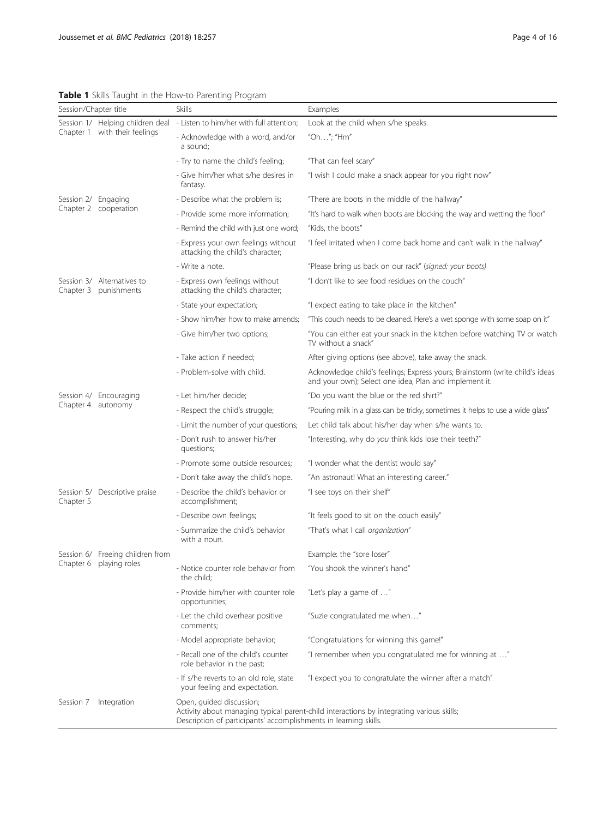# <span id="page-3-0"></span>Table 1 Skills Taught in the How-to Parenting Program

| Session/Chapter title |                                                                   | <b>Skills</b>                                                                                                                                                                            | Examples                                                                                                                               |  |  |  |
|-----------------------|-------------------------------------------------------------------|------------------------------------------------------------------------------------------------------------------------------------------------------------------------------------------|----------------------------------------------------------------------------------------------------------------------------------------|--|--|--|
|                       | Session 1/ Helping children deal<br>Chapter 1 with their feelings | - Listen to him/her with full attention;                                                                                                                                                 | Look at the child when s/he speaks.                                                                                                    |  |  |  |
|                       |                                                                   | - Acknowledge with a word, and/or<br>a sound;                                                                                                                                            | "Oh"; "Hm"                                                                                                                             |  |  |  |
|                       |                                                                   | - Try to name the child's feeling;                                                                                                                                                       | "That can feel scary"                                                                                                                  |  |  |  |
|                       |                                                                   | - Give him/her what s/he desires in<br>fantasy.                                                                                                                                          | "I wish I could make a snack appear for you right now"                                                                                 |  |  |  |
| Session 2/ Engaging   | Chapter 2 cooperation                                             | - Describe what the problem is;                                                                                                                                                          | "There are boots in the middle of the hallway"                                                                                         |  |  |  |
|                       |                                                                   | - Provide some more information;                                                                                                                                                         | "It's hard to walk when boots are blocking the way and wetting the floor"                                                              |  |  |  |
|                       |                                                                   | - Remind the child with just one word;                                                                                                                                                   | "Kids, the boots"                                                                                                                      |  |  |  |
|                       |                                                                   | - Express your own feelings without<br>attacking the child's character;                                                                                                                  | "I feel irritated when I come back home and can't walk in the hallway"                                                                 |  |  |  |
|                       |                                                                   | - Write a note.                                                                                                                                                                          | "Please bring us back on our rack" (signed: your boots)                                                                                |  |  |  |
|                       | Session 3/ Alternatives to<br>Chapter 3 punishments               | - Express own feelings without<br>attacking the child's character;                                                                                                                       | "I don't like to see food residues on the couch"                                                                                       |  |  |  |
|                       |                                                                   | - State your expectation;                                                                                                                                                                | "I expect eating to take place in the kitchen"                                                                                         |  |  |  |
|                       |                                                                   | - Show him/her how to make amends:                                                                                                                                                       | "This couch needs to be cleaned. Here's a wet sponge with some soap on it"                                                             |  |  |  |
|                       |                                                                   | - Give him/her two options;                                                                                                                                                              | "You can either eat your snack in the kitchen before watching TV or watch<br>TV without a snack"                                       |  |  |  |
|                       |                                                                   | - Take action if needed;                                                                                                                                                                 | After giving options (see above), take away the snack.                                                                                 |  |  |  |
|                       |                                                                   | - Problem-solve with child.                                                                                                                                                              | Acknowledge child's feelings; Express yours; Brainstorm (write child's ideas<br>and your own); Select one idea, Plan and implement it. |  |  |  |
|                       | Session 4/ Encouraging<br>Chapter 4 autonomy                      | - Let him/her decide:                                                                                                                                                                    | "Do you want the blue or the red shirt?"                                                                                               |  |  |  |
|                       |                                                                   | - Respect the child's struggle;                                                                                                                                                          | "Pouring milk in a glass can be tricky, sometimes it helps to use a wide glass"                                                        |  |  |  |
|                       |                                                                   | - Limit the number of your questions;                                                                                                                                                    | Let child talk about his/her day when s/he wants to.                                                                                   |  |  |  |
|                       |                                                                   | - Don't rush to answer his/her<br>questions;                                                                                                                                             | "Interesting, why do you think kids lose their teeth?"                                                                                 |  |  |  |
|                       |                                                                   | - Promote some outside resources;                                                                                                                                                        | "I wonder what the dentist would say"                                                                                                  |  |  |  |
|                       |                                                                   | - Don't take away the child's hope.                                                                                                                                                      | "An astronaut! What an interesting career."                                                                                            |  |  |  |
| Chapter 5             | Session 5/ Descriptive praise                                     | - Describe the child's behavior or<br>accomplishment;                                                                                                                                    | "I see toys on their shelf"                                                                                                            |  |  |  |
|                       |                                                                   | - Describe own feelings;                                                                                                                                                                 | "It feels good to sit on the couch easily"                                                                                             |  |  |  |
|                       |                                                                   | - Summarize the child's behavior<br>with a noun.                                                                                                                                         | "That's what I call organization"                                                                                                      |  |  |  |
|                       | Session 6/ Freeing children from<br>Chapter 6 playing roles       |                                                                                                                                                                                          | Example: the "sore loser"                                                                                                              |  |  |  |
|                       |                                                                   | - Notice counter role behavior from<br>the child;                                                                                                                                        | "You shook the winner's hand"                                                                                                          |  |  |  |
|                       |                                                                   | - Provide him/her with counter role<br>opportunities;                                                                                                                                    | "Let's play a game of "                                                                                                                |  |  |  |
|                       |                                                                   | - Let the child overhear positive<br>comments;                                                                                                                                           | "Suzie congratulated me when"                                                                                                          |  |  |  |
|                       |                                                                   | - Model appropriate behavior;                                                                                                                                                            | "Congratulations for winning this game!"                                                                                               |  |  |  |
|                       |                                                                   | - Recall one of the child's counter<br>role behavior in the past;                                                                                                                        | "I remember when you congratulated me for winning at "                                                                                 |  |  |  |
|                       |                                                                   | - If s/he reverts to an old role, state<br>your feeling and expectation.                                                                                                                 | "I expect you to congratulate the winner after a match"                                                                                |  |  |  |
| Session 7             | Integration                                                       | Open, guided discussion;<br>Activity about managing typical parent-child interactions by integrating various skills;<br>Description of participants' accomplishments in learning skills. |                                                                                                                                        |  |  |  |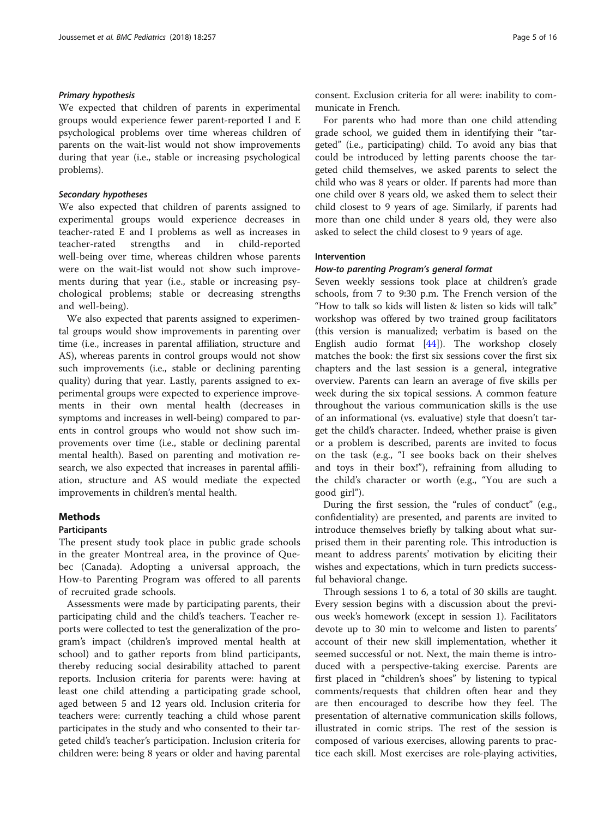# Primary hypothesis

We expected that children of parents in experimental groups would experience fewer parent-reported I and E psychological problems over time whereas children of parents on the wait-list would not show improvements during that year (i.e., stable or increasing psychological problems).

### Secondary hypotheses

We also expected that children of parents assigned to experimental groups would experience decreases in teacher-rated E and I problems as well as increases in teacher-rated strengths and in child-reported well-being over time, whereas children whose parents were on the wait-list would not show such improvements during that year (i.e., stable or increasing psychological problems; stable or decreasing strengths and well-being).

We also expected that parents assigned to experimental groups would show improvements in parenting over time (i.e., increases in parental affiliation, structure and AS), whereas parents in control groups would not show such improvements (i.e., stable or declining parenting quality) during that year. Lastly, parents assigned to experimental groups were expected to experience improvements in their own mental health (decreases in symptoms and increases in well-being) compared to parents in control groups who would not show such improvements over time (i.e., stable or declining parental mental health). Based on parenting and motivation research, we also expected that increases in parental affiliation, structure and AS would mediate the expected improvements in children's mental health.

# Methods

### Participants

The present study took place in public grade schools in the greater Montreal area, in the province of Quebec (Canada). Adopting a universal approach, the How-to Parenting Program was offered to all parents of recruited grade schools.

Assessments were made by participating parents, their participating child and the child's teachers. Teacher reports were collected to test the generalization of the program's impact (children's improved mental health at school) and to gather reports from blind participants, thereby reducing social desirability attached to parent reports. Inclusion criteria for parents were: having at least one child attending a participating grade school, aged between 5 and 12 years old. Inclusion criteria for teachers were: currently teaching a child whose parent participates in the study and who consented to their targeted child's teacher's participation. Inclusion criteria for children were: being 8 years or older and having parental consent. Exclusion criteria for all were: inability to communicate in French.

For parents who had more than one child attending grade school, we guided them in identifying their "targeted" (i.e., participating) child. To avoid any bias that could be introduced by letting parents choose the targeted child themselves, we asked parents to select the child who was 8 years or older. If parents had more than one child over 8 years old, we asked them to select their child closest to 9 years of age. Similarly, if parents had more than one child under 8 years old, they were also asked to select the child closest to 9 years of age.

### Intervention

### How-to parenting Program's general format

Seven weekly sessions took place at children's grade schools, from 7 to 9:30 p.m. The French version of the "How to talk so kids will listen & listen so kids will talk" workshop was offered by two trained group facilitators (this version is manualized; verbatim is based on the English audio format [\[44](#page-15-0)]). The workshop closely matches the book: the first six sessions cover the first six chapters and the last session is a general, integrative overview. Parents can learn an average of five skills per week during the six topical sessions. A common feature throughout the various communication skills is the use of an informational (vs. evaluative) style that doesn't target the child's character. Indeed, whether praise is given or a problem is described, parents are invited to focus on the task (e.g., "I see books back on their shelves and toys in their box!"), refraining from alluding to the child's character or worth (e.g., "You are such a good girl").

During the first session, the "rules of conduct" (e.g., confidentiality) are presented, and parents are invited to introduce themselves briefly by talking about what surprised them in their parenting role. This introduction is meant to address parents' motivation by eliciting their wishes and expectations, which in turn predicts successful behavioral change.

Through sessions 1 to 6, a total of 30 skills are taught. Every session begins with a discussion about the previous week's homework (except in session 1). Facilitators devote up to 30 min to welcome and listen to parents' account of their new skill implementation, whether it seemed successful or not. Next, the main theme is introduced with a perspective-taking exercise. Parents are first placed in "children's shoes" by listening to typical comments/requests that children often hear and they are then encouraged to describe how they feel. The presentation of alternative communication skills follows, illustrated in comic strips. The rest of the session is composed of various exercises, allowing parents to practice each skill. Most exercises are role-playing activities,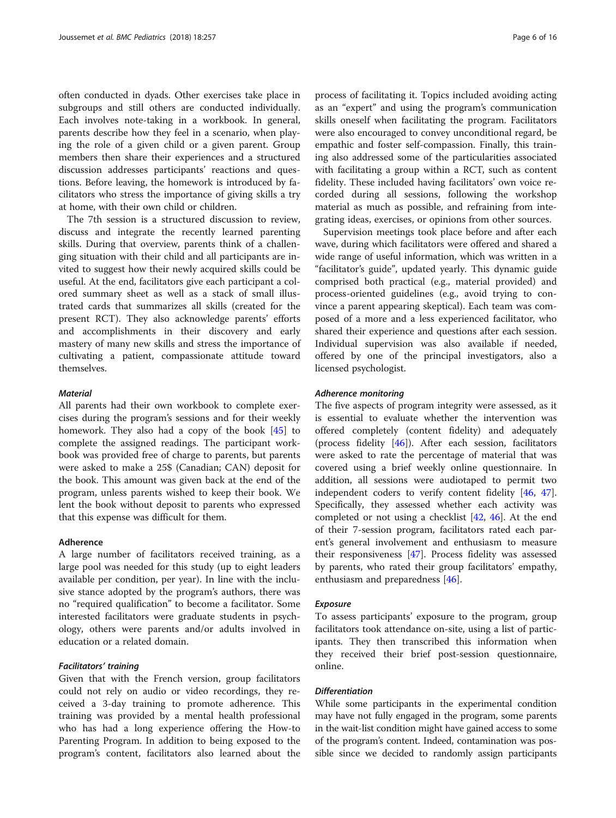often conducted in dyads. Other exercises take place in subgroups and still others are conducted individually. Each involves note-taking in a workbook. In general, parents describe how they feel in a scenario, when playing the role of a given child or a given parent. Group members then share their experiences and a structured discussion addresses participants' reactions and questions. Before leaving, the homework is introduced by facilitators who stress the importance of giving skills a try at home, with their own child or children.

The 7th session is a structured discussion to review, discuss and integrate the recently learned parenting skills. During that overview, parents think of a challenging situation with their child and all participants are invited to suggest how their newly acquired skills could be useful. At the end, facilitators give each participant a colored summary sheet as well as a stack of small illustrated cards that summarizes all skills (created for the present RCT). They also acknowledge parents' efforts and accomplishments in their discovery and early mastery of many new skills and stress the importance of cultivating a patient, compassionate attitude toward themselves.

### **Material**

All parents had their own workbook to complete exercises during the program's sessions and for their weekly homework. They also had a copy of the book [\[45](#page-15-0)] to complete the assigned readings. The participant workbook was provided free of charge to parents, but parents were asked to make a 25\$ (Canadian; CAN) deposit for the book. This amount was given back at the end of the program, unless parents wished to keep their book. We lent the book without deposit to parents who expressed that this expense was difficult for them.

### Adherence

A large number of facilitators received training, as a large pool was needed for this study (up to eight leaders available per condition, per year). In line with the inclusive stance adopted by the program's authors, there was no "required qualification" to become a facilitator. Some interested facilitators were graduate students in psychology, others were parents and/or adults involved in education or a related domain.

### Facilitators' training

Given that with the French version, group facilitators could not rely on audio or video recordings, they received a 3-day training to promote adherence. This training was provided by a mental health professional who has had a long experience offering the How-to Parenting Program. In addition to being exposed to the program's content, facilitators also learned about the

process of facilitating it. Topics included avoiding acting as an "expert" and using the program's communication skills oneself when facilitating the program. Facilitators were also encouraged to convey unconditional regard, be empathic and foster self-compassion. Finally, this training also addressed some of the particularities associated with facilitating a group within a RCT, such as content fidelity. These included having facilitators' own voice recorded during all sessions, following the workshop material as much as possible, and refraining from integrating ideas, exercises, or opinions from other sources.

Supervision meetings took place before and after each wave, during which facilitators were offered and shared a wide range of useful information, which was written in a "facilitator's guide", updated yearly. This dynamic guide comprised both practical (e.g., material provided) and process-oriented guidelines (e.g., avoid trying to convince a parent appearing skeptical). Each team was composed of a more and a less experienced facilitator, who shared their experience and questions after each session. Individual supervision was also available if needed, offered by one of the principal investigators, also a licensed psychologist.

### Adherence monitoring

The five aspects of program integrity were assessed, as it is essential to evaluate whether the intervention was offered completely (content fidelity) and adequately (process fidelity [[46\]](#page-15-0)). After each session, facilitators were asked to rate the percentage of material that was covered using a brief weekly online questionnaire. In addition, all sessions were audiotaped to permit two independent coders to verify content fidelity [\[46](#page-15-0), [47](#page-15-0)]. Specifically, they assessed whether each activity was completed or not using a checklist [[42,](#page-15-0) [46\]](#page-15-0). At the end of their 7-session program, facilitators rated each parent's general involvement and enthusiasm to measure their responsiveness [[47\]](#page-15-0). Process fidelity was assessed by parents, who rated their group facilitators' empathy, enthusiasm and preparedness [[46\]](#page-15-0).

### Exposure

To assess participants' exposure to the program, group facilitators took attendance on-site, using a list of participants. They then transcribed this information when they received their brief post-session questionnaire, online.

### **Differentiation**

While some participants in the experimental condition may have not fully engaged in the program, some parents in the wait-list condition might have gained access to some of the program's content. Indeed, contamination was possible since we decided to randomly assign participants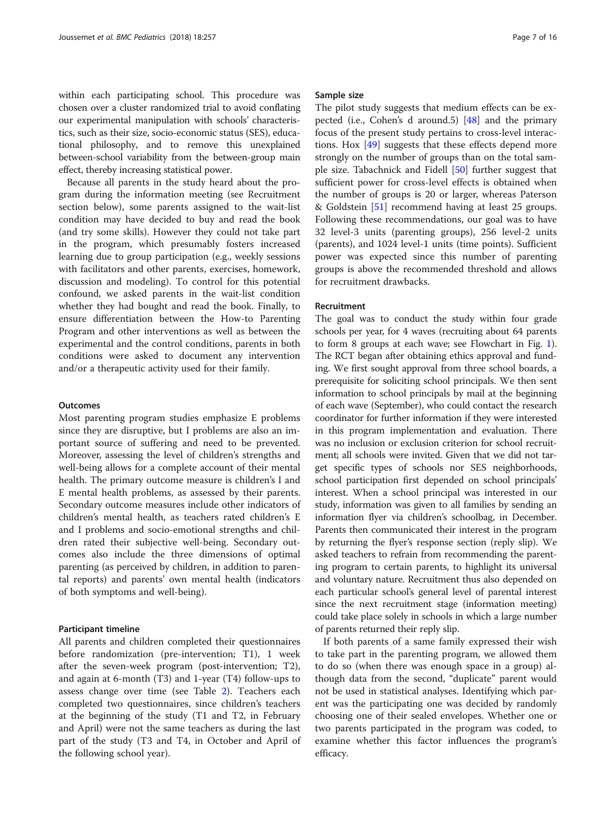within each participating school. This procedure was chosen over a cluster randomized trial to avoid conflating our experimental manipulation with schools' characteristics, such as their size, socio-economic status (SES), educational philosophy, and to remove this unexplained between-school variability from the between-group main effect, thereby increasing statistical power.

Because all parents in the study heard about the program during the information meeting (see Recruitment section below), some parents assigned to the wait-list condition may have decided to buy and read the book (and try some skills). However they could not take part in the program, which presumably fosters increased learning due to group participation (e.g., weekly sessions with facilitators and other parents, exercises, homework, discussion and modeling). To control for this potential confound, we asked parents in the wait-list condition whether they had bought and read the book. Finally, to ensure differentiation between the How-to Parenting Program and other interventions as well as between the experimental and the control conditions, parents in both conditions were asked to document any intervention and/or a therapeutic activity used for their family.

### **Outcomes**

Most parenting program studies emphasize E problems since they are disruptive, but I problems are also an important source of suffering and need to be prevented. Moreover, assessing the level of children's strengths and well-being allows for a complete account of their mental health. The primary outcome measure is children's I and E mental health problems, as assessed by their parents. Secondary outcome measures include other indicators of children's mental health, as teachers rated children's E and I problems and socio-emotional strengths and children rated their subjective well-being. Secondary outcomes also include the three dimensions of optimal parenting (as perceived by children, in addition to parental reports) and parents' own mental health (indicators of both symptoms and well-being).

### Participant timeline

All parents and children completed their questionnaires before randomization (pre-intervention; T1), 1 week after the seven-week program (post-intervention; T2), and again at 6-month (T3) and 1-year (T4) follow-ups to assess change over time (see Table [2](#page-7-0)). Teachers each completed two questionnaires, since children's teachers at the beginning of the study (T1 and T2, in February and April) were not the same teachers as during the last part of the study (T3 and T4, in October and April of the following school year).

### Sample size

The pilot study suggests that medium effects can be expected (i.e., Cohen's d around.5) [\[48](#page-15-0)] and the primary focus of the present study pertains to cross-level interactions. Hox [[49\]](#page-15-0) suggests that these effects depend more strongly on the number of groups than on the total sample size. Tabachnick and Fidell [[50\]](#page-15-0) further suggest that sufficient power for cross-level effects is obtained when the number of groups is 20 or larger, whereas Paterson & Goldstein [[51\]](#page-15-0) recommend having at least 25 groups. Following these recommendations, our goal was to have 32 level-3 units (parenting groups), 256 level-2 units (parents), and 1024 level-1 units (time points). Sufficient power was expected since this number of parenting groups is above the recommended threshold and allows for recruitment drawbacks.

# Recruitment

The goal was to conduct the study within four grade schools per year, for 4 waves (recruiting about 64 parents to form 8 groups at each wave; see Flowchart in Fig. [1](#page-8-0)). The RCT began after obtaining ethics approval and funding. We first sought approval from three school boards, a prerequisite for soliciting school principals. We then sent information to school principals by mail at the beginning of each wave (September), who could contact the research coordinator for further information if they were interested in this program implementation and evaluation. There was no inclusion or exclusion criterion for school recruitment; all schools were invited. Given that we did not target specific types of schools nor SES neighborhoods, school participation first depended on school principals' interest. When a school principal was interested in our study, information was given to all families by sending an information flyer via children's schoolbag, in December. Parents then communicated their interest in the program by returning the flyer's response section (reply slip). We asked teachers to refrain from recommending the parenting program to certain parents, to highlight its universal and voluntary nature. Recruitment thus also depended on each particular school's general level of parental interest since the next recruitment stage (information meeting) could take place solely in schools in which a large number of parents returned their reply slip.

If both parents of a same family expressed their wish to take part in the parenting program, we allowed them to do so (when there was enough space in a group) although data from the second, "duplicate" parent would not be used in statistical analyses. Identifying which parent was the participating one was decided by randomly choosing one of their sealed envelopes. Whether one or two parents participated in the program was coded, to examine whether this factor influences the program's efficacy.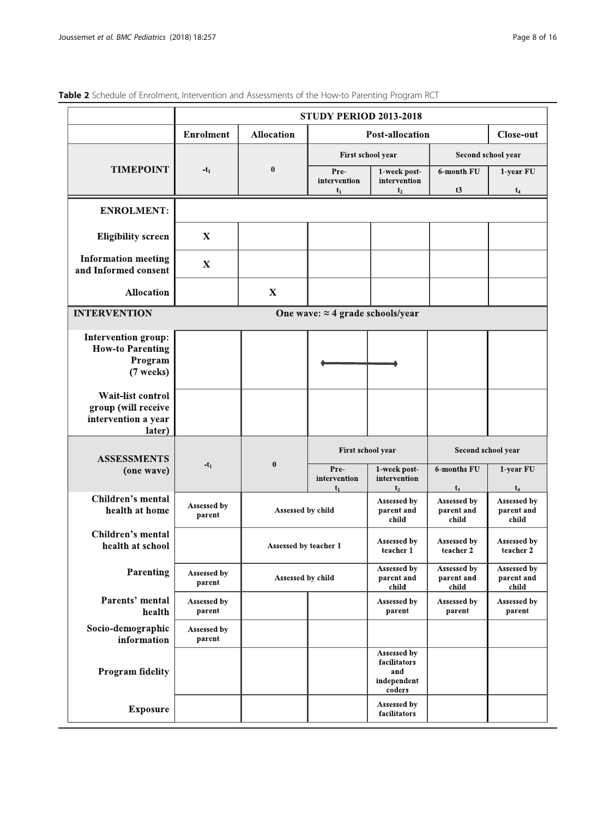|                                                                               | <b>STUDY PERIOD 2013-2018</b> |                            |                                          |                                                             |                                    |                                    |  |  |
|-------------------------------------------------------------------------------|-------------------------------|----------------------------|------------------------------------------|-------------------------------------------------------------|------------------------------------|------------------------------------|--|--|
|                                                                               | <b>Enrolment</b>              | <b>Allocation</b>          | <b>Post-allocation</b>                   |                                                             |                                    | Close-out                          |  |  |
|                                                                               | $-t_1$                        | $\bf{0}$                   | First school year                        |                                                             | Second school year                 |                                    |  |  |
| <b>TIMEPOINT</b>                                                              |                               |                            | Pre-<br>intervention                     | 1-week post-<br>intervention                                | 6-month FU                         | 1-year FU                          |  |  |
|                                                                               |                               |                            | $t_1$                                    | t <sub>2</sub>                                              | t3                                 | $t_4$                              |  |  |
| <b>ENROLMENT:</b>                                                             |                               |                            |                                          |                                                             |                                    |                                    |  |  |
| <b>Eligibility</b> screen                                                     | $\mathbf{X}$                  |                            |                                          |                                                             |                                    |                                    |  |  |
| <b>Information meeting</b><br>and Informed consent                            | $\mathbf X$                   |                            |                                          |                                                             |                                    |                                    |  |  |
| <b>Allocation</b>                                                             |                               | $\mathbf X$                |                                          |                                                             |                                    |                                    |  |  |
| <b>INTERVENTION</b>                                                           |                               |                            | One wave: $\approx$ 4 grade schools/year |                                                             |                                    |                                    |  |  |
| <b>Intervention group:</b><br><b>How-to Parenting</b><br>Program<br>(7 weeks) |                               |                            |                                          |                                                             |                                    |                                    |  |  |
| Wait-list control<br>group (will receive<br>intervention a year<br>later)     |                               |                            |                                          |                                                             |                                    |                                    |  |  |
| <b>ASSESSMENTS</b>                                                            |                               |                            | First school year                        |                                                             | Second school year                 |                                    |  |  |
| (one wave)                                                                    | $-t_1$                        | $\bf{0}$                   | Pre-<br>intervention                     | 1-week post-<br>intervention<br>t <sub>2</sub>              | 6-months FU<br>$t_3$               | 1-year FU<br>$t_4$                 |  |  |
| Children's mental<br>health at home                                           | Assessed by<br>parent         | $t_1$<br>Assessed by child |                                          | Assessed by<br>parent and<br>child                          | Assessed by<br>parent and<br>child | Assessed by<br>parent and<br>child |  |  |
| <b>Children's mental</b><br>health at school                                  |                               | Assessed by teacher 1      |                                          | Assessed by<br>teacher 1                                    | Assessed by<br>teacher 2           | Assessed by<br>teacher 2           |  |  |
| Parenting                                                                     | Assessed by<br>parent         | Assessed by child          |                                          | Assessed by<br>parent and<br>child                          | Assessed by<br>parent and<br>child | Assessed by<br>parent and<br>child |  |  |
| Parents' mental<br>health                                                     | Assessed by<br>parent         |                            |                                          | Assessed by<br>parent                                       | Assessed by<br>parent              | Assessed by<br>parent              |  |  |
| Socio-demographic<br>information                                              | Assessed by<br>parent         |                            |                                          |                                                             |                                    |                                    |  |  |
| <b>Program fidelity</b>                                                       |                               |                            |                                          | Assessed by<br>facilitators<br>and<br>independent<br>coders |                                    |                                    |  |  |
| <b>Exposure</b>                                                               |                               |                            |                                          | Assessed by<br>facilitators                                 |                                    |                                    |  |  |

<span id="page-7-0"></span>Table 2 Schedule of Enrolment, Intervention and Assessments of the How-to Parenting Program RCT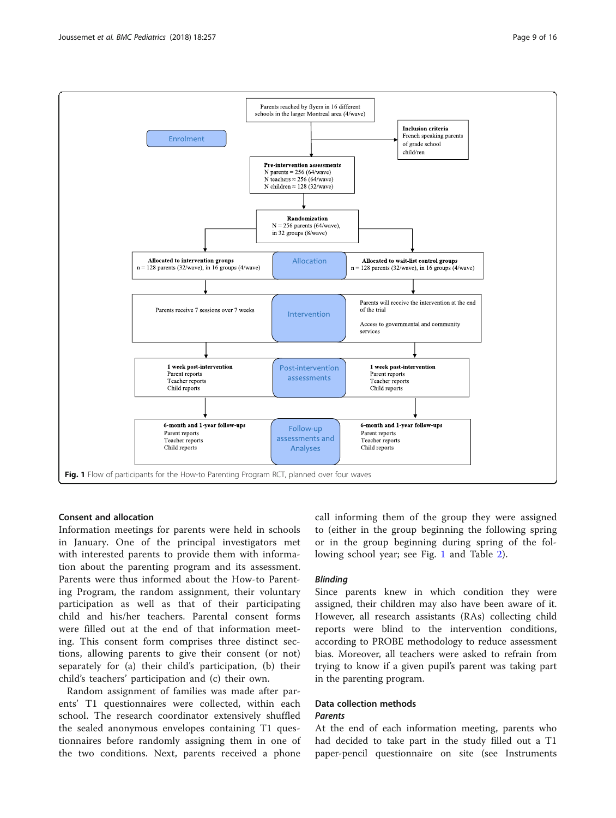<span id="page-8-0"></span>

### Consent and allocation

Information meetings for parents were held in schools in January. One of the principal investigators met with interested parents to provide them with information about the parenting program and its assessment. Parents were thus informed about the How-to Parenting Program, the random assignment, their voluntary participation as well as that of their participating child and his/her teachers. Parental consent forms were filled out at the end of that information meeting. This consent form comprises three distinct sections, allowing parents to give their consent (or not) separately for (a) their child's participation, (b) their child's teachers' participation and (c) their own.

Random assignment of families was made after parents' T1 questionnaires were collected, within each school. The research coordinator extensively shuffled the sealed anonymous envelopes containing T1 questionnaires before randomly assigning them in one of the two conditions. Next, parents received a phone call informing them of the group they were assigned to (either in the group beginning the following spring or in the group beginning during spring of the following school year; see Fig. 1 and Table [2\)](#page-7-0).

### Blinding

Since parents knew in which condition they were assigned, their children may also have been aware of it. However, all research assistants (RAs) collecting child reports were blind to the intervention conditions, according to PROBE methodology to reduce assessment bias. Moreover, all teachers were asked to refrain from trying to know if a given pupil's parent was taking part in the parenting program.

### Data collection methods Parents

At the end of each information meeting, parents who had decided to take part in the study filled out a T1 paper-pencil questionnaire on site (see Instruments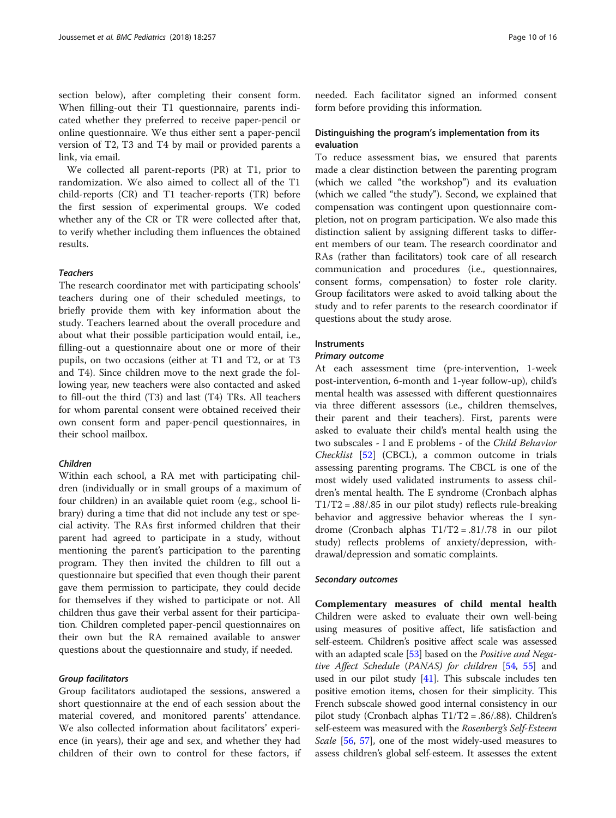section below), after completing their consent form. When filling-out their T1 questionnaire, parents indicated whether they preferred to receive paper-pencil or online questionnaire. We thus either sent a paper-pencil version of T2, T3 and T4 by mail or provided parents a link, via email.

We collected all parent-reports (PR) at T1, prior to randomization. We also aimed to collect all of the T1 child-reports (CR) and T1 teacher-reports (TR) before the first session of experimental groups. We coded whether any of the CR or TR were collected after that, to verify whether including them influences the obtained results.

# Teachers

The research coordinator met with participating schools' teachers during one of their scheduled meetings, to briefly provide them with key information about the study. Teachers learned about the overall procedure and about what their possible participation would entail, i.e., filling-out a questionnaire about one or more of their pupils, on two occasions (either at T1 and T2, or at T3 and T4). Since children move to the next grade the following year, new teachers were also contacted and asked to fill-out the third (T3) and last (T4) TRs. All teachers for whom parental consent were obtained received their own consent form and paper-pencil questionnaires, in their school mailbox.

### Children

Within each school, a RA met with participating children (individually or in small groups of a maximum of four children) in an available quiet room (e.g., school library) during a time that did not include any test or special activity. The RAs first informed children that their parent had agreed to participate in a study, without mentioning the parent's participation to the parenting program. They then invited the children to fill out a questionnaire but specified that even though their parent gave them permission to participate, they could decide for themselves if they wished to participate or not. All children thus gave their verbal assent for their participation. Children completed paper-pencil questionnaires on their own but the RA remained available to answer questions about the questionnaire and study, if needed.

### Group facilitators

Group facilitators audiotaped the sessions, answered a short questionnaire at the end of each session about the material covered, and monitored parents' attendance. We also collected information about facilitators' experience (in years), their age and sex, and whether they had children of their own to control for these factors, if

needed. Each facilitator signed an informed consent form before providing this information.

# Distinguishing the program's implementation from its evaluation

To reduce assessment bias, we ensured that parents made a clear distinction between the parenting program (which we called "the workshop") and its evaluation (which we called "the study"). Second, we explained that compensation was contingent upon questionnaire completion, not on program participation. We also made this distinction salient by assigning different tasks to different members of our team. The research coordinator and RAs (rather than facilitators) took care of all research communication and procedures (i.e., questionnaires, consent forms, compensation) to foster role clarity. Group facilitators were asked to avoid talking about the study and to refer parents to the research coordinator if questions about the study arose.

# Instruments

# Primary outcome

At each assessment time (pre-intervention, 1-week post-intervention, 6-month and 1-year follow-up), child's mental health was assessed with different questionnaires via three different assessors (i.e., children themselves, their parent and their teachers). First, parents were asked to evaluate their child's mental health using the two subscales - I and E problems - of the Child Behavior Checklist [[52](#page-15-0)] (CBCL), a common outcome in trials assessing parenting programs. The CBCL is one of the most widely used validated instruments to assess children's mental health. The E syndrome (Cronbach alphas  $T1/T2 = .88/.85$  in our pilot study) reflects rule-breaking behavior and aggressive behavior whereas the I syndrome (Cronbach alphas T1/T2 = .81/.78 in our pilot study) reflects problems of anxiety/depression, withdrawal/depression and somatic complaints.

### Secondary outcomes

Complementary measures of child mental health Children were asked to evaluate their own well-being using measures of positive affect, life satisfaction and self-esteem. Children's positive affect scale was assessed with an adapted scale [[53](#page-15-0)] based on the Positive and Negative Affect Schedule (PANAS) for children [\[54,](#page-15-0) [55\]](#page-15-0) and used in our pilot study [[41](#page-15-0)]. This subscale includes ten positive emotion items, chosen for their simplicity. This French subscale showed good internal consistency in our pilot study (Cronbach alphas T1/T2 = .86/.88). Children's self-esteem was measured with the Rosenberg's Self-Esteem Scale [\[56,](#page-15-0) [57\]](#page-15-0), one of the most widely-used measures to assess children's global self-esteem. It assesses the extent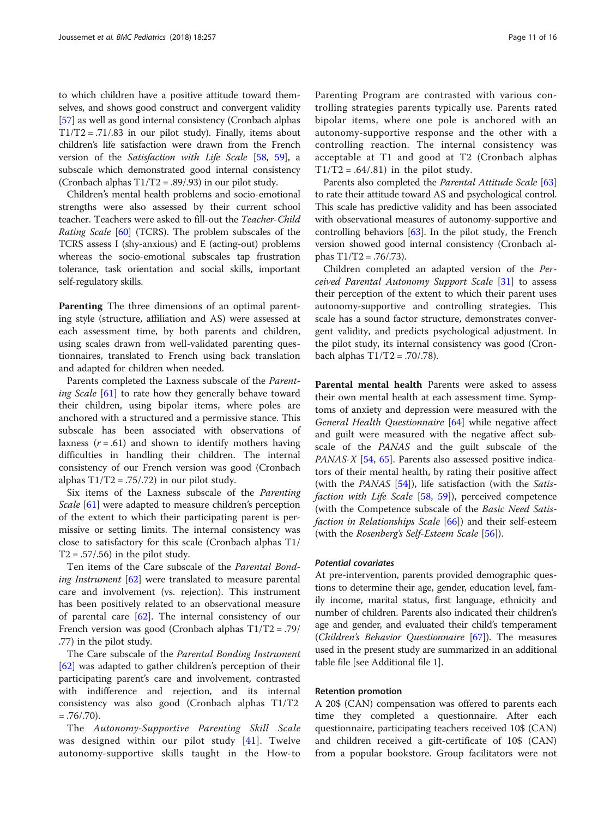to which children have a positive attitude toward themselves, and shows good construct and convergent validity [[57](#page-15-0)] as well as good internal consistency (Cronbach alphas  $T1/T2 = .71/.83$  in our pilot study). Finally, items about children's life satisfaction were drawn from the French version of the Satisfaction with Life Scale [\[58,](#page-15-0) [59](#page-15-0)], a subscale which demonstrated good internal consistency (Cronbach alphas  $T1/T2 = .89/.93$ ) in our pilot study.

Children's mental health problems and socio-emotional strengths were also assessed by their current school teacher. Teachers were asked to fill-out the Teacher-Child Rating Scale [\[60\]](#page-15-0) (TCRS). The problem subscales of the TCRS assess I (shy-anxious) and E (acting-out) problems whereas the socio-emotional subscales tap frustration tolerance, task orientation and social skills, important self-regulatory skills.

Parenting The three dimensions of an optimal parenting style (structure, affiliation and AS) were assessed at each assessment time, by both parents and children, using scales drawn from well-validated parenting questionnaires, translated to French using back translation and adapted for children when needed.

Parents completed the Laxness subscale of the Parent-ing Scale [\[61](#page-15-0)] to rate how they generally behave toward their children, using bipolar items, where poles are anchored with a structured and a permissive stance. This subscale has been associated with observations of laxness  $(r = .61)$  and shown to identify mothers having difficulties in handling their children. The internal consistency of our French version was good (Cronbach alphas  $T1/T2 = .75/.72$ ) in our pilot study.

Six items of the Laxness subscale of the Parenting Scale [[61](#page-15-0)] were adapted to measure children's perception of the extent to which their participating parent is permissive or setting limits. The internal consistency was close to satisfactory for this scale (Cronbach alphas T1/  $T2 = .57/.56$ ) in the pilot study.

Ten items of the Care subscale of the Parental Bond-ing Instrument [\[62\]](#page-15-0) were translated to measure parental care and involvement (vs. rejection). This instrument has been positively related to an observational measure of parental care [\[62](#page-15-0)]. The internal consistency of our French version was good (Cronbach alphas T1/T2 = .79/ .77) in the pilot study.

The Care subscale of the Parental Bonding Instrument [[62\]](#page-15-0) was adapted to gather children's perception of their participating parent's care and involvement, contrasted with indifference and rejection, and its internal consistency was also good (Cronbach alphas T1/T2  $=.76/.70).$ 

The Autonomy-Supportive Parenting Skill Scale was designed within our pilot study [[41\]](#page-15-0). Twelve autonomy-supportive skills taught in the How-to

Parenting Program are contrasted with various controlling strategies parents typically use. Parents rated bipolar items, where one pole is anchored with an autonomy-supportive response and the other with a controlling reaction. The internal consistency was acceptable at T1 and good at T2 (Cronbach alphas  $T1/T2 = .64/.81$ ) in the pilot study.

Parents also completed the *Parental Attitude Scale* [[63](#page-15-0)] to rate their attitude toward AS and psychological control. This scale has predictive validity and has been associated with observational measures of autonomy-supportive and controlling behaviors [\[63\]](#page-15-0). In the pilot study, the French version showed good internal consistency (Cronbach alphas  $T1/T2 = .76/.73$ ).

Children completed an adapted version of the Perceived Parental Autonomy Support Scale [\[31](#page-15-0)] to assess their perception of the extent to which their parent uses autonomy-supportive and controlling strategies. This scale has a sound factor structure, demonstrates convergent validity, and predicts psychological adjustment. In the pilot study, its internal consistency was good (Cronbach alphas  $T1/T2 = .70/.78$ .

Parental mental health Parents were asked to assess their own mental health at each assessment time. Symptoms of anxiety and depression were measured with the General Health Questionnaire [[64](#page-15-0)] while negative affect and guilt were measured with the negative affect subscale of the PANAS and the guilt subscale of the PANAS-X [\[54](#page-15-0), [65\]](#page-15-0). Parents also assessed positive indicators of their mental health, by rating their positive affect (with the PANAS  $[54]$  $[54]$ ), life satisfaction (with the Satis-faction with Life Scale [[58,](#page-15-0) [59](#page-15-0)]), perceived competence (with the Competence subscale of the Basic Need Satis-faction in Relationships Scale [\[66](#page-15-0)]) and their self-esteem (with the Rosenberg's Self-Esteem Scale [[56\]](#page-15-0)).

### Potential covariates

At pre-intervention, parents provided demographic questions to determine their age, gender, education level, family income, marital status, first language, ethnicity and number of children. Parents also indicated their children's age and gender, and evaluated their child's temperament (Children's Behavior Questionnaire [\[67\]](#page-15-0)). The measures used in the present study are summarized in an additional table file [see Additional file [1\]](#page-14-0).

### Retention promotion

A 20\$ (CAN) compensation was offered to parents each time they completed a questionnaire. After each questionnaire, participating teachers received 10\$ (CAN) and children received a gift-certificate of 10\$ (CAN) from a popular bookstore. Group facilitators were not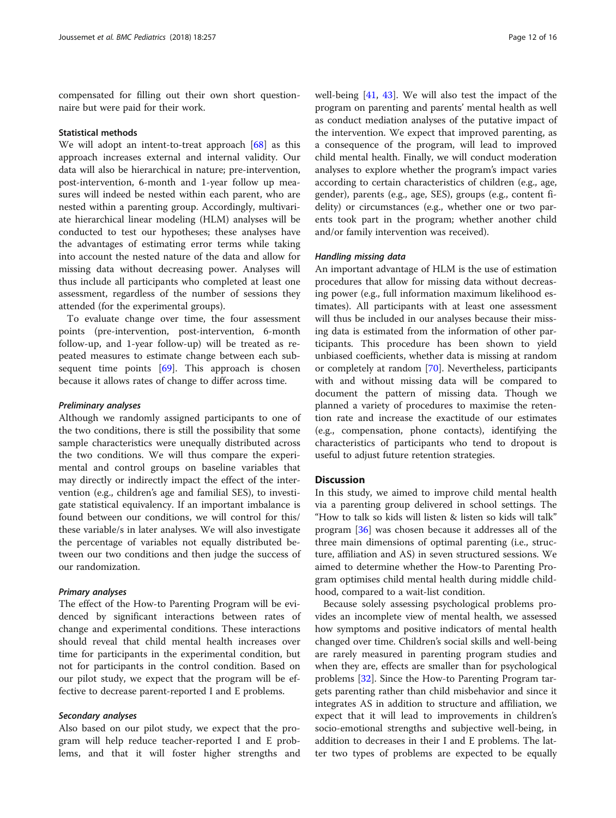compensated for filling out their own short questionnaire but were paid for their work.

#### Statistical methods

We will adopt an intent-to-treat approach [\[68](#page-15-0)] as this approach increases external and internal validity. Our data will also be hierarchical in nature; pre-intervention, post-intervention, 6-month and 1-year follow up measures will indeed be nested within each parent, who are nested within a parenting group. Accordingly, multivariate hierarchical linear modeling (HLM) analyses will be conducted to test our hypotheses; these analyses have the advantages of estimating error terms while taking into account the nested nature of the data and allow for missing data without decreasing power. Analyses will thus include all participants who completed at least one assessment, regardless of the number of sessions they attended (for the experimental groups).

To evaluate change over time, the four assessment points (pre-intervention, post-intervention, 6-month follow-up, and 1-year follow-up) will be treated as repeated measures to estimate change between each subsequent time points  $[69]$  $[69]$ . This approach is chosen because it allows rates of change to differ across time.

### Preliminary analyses

Although we randomly assigned participants to one of the two conditions, there is still the possibility that some sample characteristics were unequally distributed across the two conditions. We will thus compare the experimental and control groups on baseline variables that may directly or indirectly impact the effect of the intervention (e.g., children's age and familial SES), to investigate statistical equivalency. If an important imbalance is found between our conditions, we will control for this/ these variable/s in later analyses. We will also investigate the percentage of variables not equally distributed between our two conditions and then judge the success of our randomization.

# Primary analyses

The effect of the How-to Parenting Program will be evidenced by significant interactions between rates of change and experimental conditions. These interactions should reveal that child mental health increases over time for participants in the experimental condition, but not for participants in the control condition. Based on our pilot study, we expect that the program will be effective to decrease parent-reported I and E problems.

### Secondary analyses

Also based on our pilot study, we expect that the program will help reduce teacher-reported I and E problems, and that it will foster higher strengths and

well-being [\[41,](#page-15-0) [43\]](#page-15-0). We will also test the impact of the program on parenting and parents' mental health as well as conduct mediation analyses of the putative impact of the intervention. We expect that improved parenting, as a consequence of the program, will lead to improved child mental health. Finally, we will conduct moderation analyses to explore whether the program's impact varies according to certain characteristics of children (e.g., age, gender), parents (e.g., age, SES), groups (e.g., content fidelity) or circumstances (e.g., whether one or two parents took part in the program; whether another child and/or family intervention was received).

### Handling missing data

An important advantage of HLM is the use of estimation procedures that allow for missing data without decreasing power (e.g., full information maximum likelihood estimates). All participants with at least one assessment will thus be included in our analyses because their missing data is estimated from the information of other participants. This procedure has been shown to yield unbiased coefficients, whether data is missing at random or completely at random [\[70](#page-15-0)]. Nevertheless, participants with and without missing data will be compared to document the pattern of missing data. Though we planned a variety of procedures to maximise the retention rate and increase the exactitude of our estimates (e.g., compensation, phone contacts), identifying the characteristics of participants who tend to dropout is useful to adjust future retention strategies.

# **Discussion**

In this study, we aimed to improve child mental health via a parenting group delivered in school settings. The "How to talk so kids will listen & listen so kids will talk" program [[36](#page-15-0)] was chosen because it addresses all of the three main dimensions of optimal parenting (i.e., structure, affiliation and AS) in seven structured sessions. We aimed to determine whether the How-to Parenting Program optimises child mental health during middle childhood, compared to a wait-list condition.

Because solely assessing psychological problems provides an incomplete view of mental health, we assessed how symptoms and positive indicators of mental health changed over time. Children's social skills and well-being are rarely measured in parenting program studies and when they are, effects are smaller than for psychological problems [\[32\]](#page-15-0). Since the How-to Parenting Program targets parenting rather than child misbehavior and since it integrates AS in addition to structure and affiliation, we expect that it will lead to improvements in children's socio-emotional strengths and subjective well-being, in addition to decreases in their I and E problems. The latter two types of problems are expected to be equally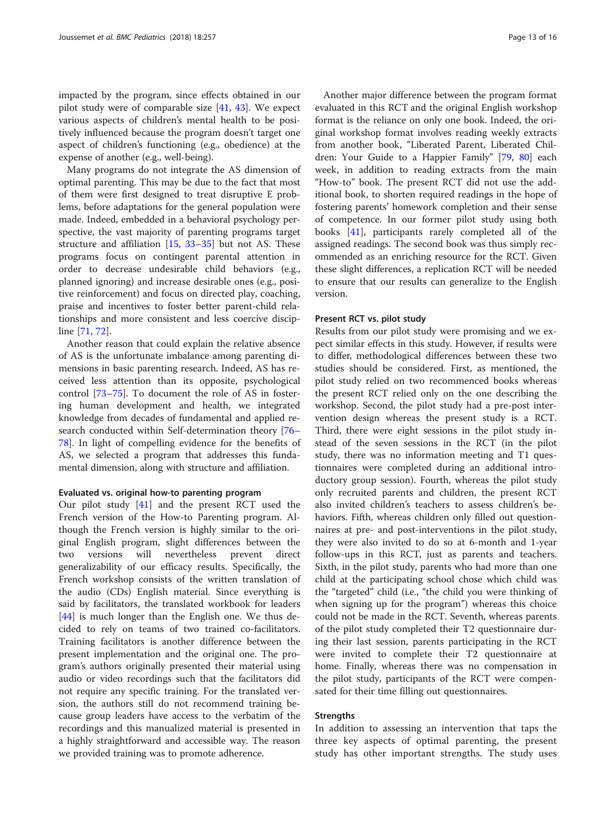impacted by the program, since effects obtained in our pilot study were of comparable size [[41,](#page-15-0) [43](#page-15-0)]. We expect various aspects of children's mental health to be positively influenced because the program doesn't target one aspect of children's functioning (e.g., obedience) at the expense of another (e.g., well-being).

Many programs do not integrate the AS dimension of optimal parenting. This may be due to the fact that most of them were first designed to treat disruptive E problems, before adaptations for the general population were made. Indeed, embedded in a behavioral psychology perspective, the vast majority of parenting programs target structure and affiliation  $[15, 33-35]$  $[15, 33-35]$  $[15, 33-35]$  $[15, 33-35]$  $[15, 33-35]$  $[15, 33-35]$  but not AS. These programs focus on contingent parental attention in order to decrease undesirable child behaviors (e.g., planned ignoring) and increase desirable ones (e.g., positive reinforcement) and focus on directed play, coaching, praise and incentives to foster better parent-child relationships and more consistent and less coercive discipline [[71,](#page-15-0) [72](#page-15-0)].

Another reason that could explain the relative absence of AS is the unfortunate imbalance among parenting dimensions in basic parenting research. Indeed, AS has received less attention than its opposite, psychological control [\[73](#page-15-0)–[75\]](#page-15-0). To document the role of AS in fostering human development and health, we integrated knowledge from decades of fundamental and applied research conducted within Self-determination theory [[76](#page-15-0)– [78\]](#page-15-0). In light of compelling evidence for the benefits of AS, we selected a program that addresses this fundamental dimension, along with structure and affiliation.

### Evaluated vs. original how-to parenting program

Our pilot study [\[41](#page-15-0)] and the present RCT used the French version of the How-to Parenting program. Although the French version is highly similar to the original English program, slight differences between the two versions will nevertheless prevent direct generalizability of our efficacy results. Specifically, the French workshop consists of the written translation of the audio (CDs) English material. Since everything is said by facilitators, the translated workbook for leaders [[44\]](#page-15-0) is much longer than the English one. We thus decided to rely on teams of two trained co-facilitators. Training facilitators is another difference between the present implementation and the original one. The program's authors originally presented their material using audio or video recordings such that the facilitators did not require any specific training. For the translated version, the authors still do not recommend training because group leaders have access to the verbatim of the recordings and this manualized material is presented in a highly straightforward and accessible way. The reason we provided training was to promote adherence.

Another major difference between the program format evaluated in this RCT and the original English workshop format is the reliance on only one book. Indeed, the original workshop format involves reading weekly extracts from another book, "Liberated Parent, Liberated Children: Your Guide to a Happier Family" [\[79,](#page-15-0) [80\]](#page-15-0) each week, in addition to reading extracts from the main "How-to" book. The present RCT did not use the additional book, to shorten required readings in the hope of fostering parents' homework completion and their sense of competence. In our former pilot study using both books [[41\]](#page-15-0), participants rarely completed all of the assigned readings. The second book was thus simply recommended as an enriching resource for the RCT. Given these slight differences, a replication RCT will be needed to ensure that our results can generalize to the English version.

### Present RCT vs. pilot study

Results from our pilot study were promising and we expect similar effects in this study. However, if results were to differ, methodological differences between these two studies should be considered. First, as mentioned, the pilot study relied on two recommenced books whereas the present RCT relied only on the one describing the workshop. Second, the pilot study had a pre-post intervention design whereas the present study is a RCT. Third, there were eight sessions in the pilot study instead of the seven sessions in the RCT (in the pilot study, there was no information meeting and T1 questionnaires were completed during an additional introductory group session). Fourth, whereas the pilot study only recruited parents and children, the present RCT also invited children's teachers to assess children's behaviors. Fifth, whereas children only filled out questionnaires at pre- and post-interventions in the pilot study, they were also invited to do so at 6-month and 1-year follow-ups in this RCT, just as parents and teachers. Sixth, in the pilot study, parents who had more than one child at the participating school chose which child was the "targeted" child (i.e., "the child you were thinking of when signing up for the program") whereas this choice could not be made in the RCT. Seventh, whereas parents of the pilot study completed their T2 questionnaire during their last session, parents participating in the RCT were invited to complete their T2 questionnaire at home. Finally, whereas there was no compensation in the pilot study, participants of the RCT were compensated for their time filling out questionnaires.

# **Strengths**

In addition to assessing an intervention that taps the three key aspects of optimal parenting, the present study has other important strengths. The study uses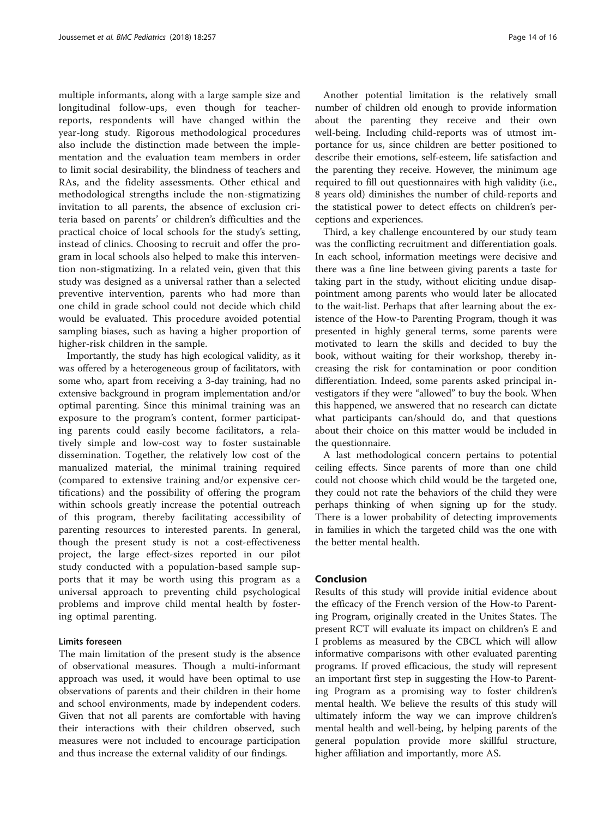multiple informants, along with a large sample size and longitudinal follow-ups, even though for teacherreports, respondents will have changed within the year-long study. Rigorous methodological procedures also include the distinction made between the implementation and the evaluation team members in order to limit social desirability, the blindness of teachers and RAs, and the fidelity assessments. Other ethical and methodological strengths include the non-stigmatizing invitation to all parents, the absence of exclusion criteria based on parents' or children's difficulties and the practical choice of local schools for the study's setting, instead of clinics. Choosing to recruit and offer the program in local schools also helped to make this intervention non-stigmatizing. In a related vein, given that this study was designed as a universal rather than a selected preventive intervention, parents who had more than one child in grade school could not decide which child would be evaluated. This procedure avoided potential sampling biases, such as having a higher proportion of higher-risk children in the sample.

Importantly, the study has high ecological validity, as it was offered by a heterogeneous group of facilitators, with some who, apart from receiving a 3-day training, had no extensive background in program implementation and/or optimal parenting. Since this minimal training was an exposure to the program's content, former participating parents could easily become facilitators, a relatively simple and low-cost way to foster sustainable dissemination. Together, the relatively low cost of the manualized material, the minimal training required (compared to extensive training and/or expensive certifications) and the possibility of offering the program within schools greatly increase the potential outreach of this program, thereby facilitating accessibility of parenting resources to interested parents. In general, though the present study is not a cost-effectiveness project, the large effect-sizes reported in our pilot study conducted with a population-based sample supports that it may be worth using this program as a universal approach to preventing child psychological problems and improve child mental health by fostering optimal parenting.

# Limits foreseen

The main limitation of the present study is the absence of observational measures. Though a multi-informant approach was used, it would have been optimal to use observations of parents and their children in their home and school environments, made by independent coders. Given that not all parents are comfortable with having their interactions with their children observed, such measures were not included to encourage participation and thus increase the external validity of our findings.

Another potential limitation is the relatively small number of children old enough to provide information about the parenting they receive and their own well-being. Including child-reports was of utmost importance for us, since children are better positioned to describe their emotions, self-esteem, life satisfaction and the parenting they receive. However, the minimum age required to fill out questionnaires with high validity (i.e., 8 years old) diminishes the number of child-reports and the statistical power to detect effects on children's perceptions and experiences.

Third, a key challenge encountered by our study team was the conflicting recruitment and differentiation goals. In each school, information meetings were decisive and there was a fine line between giving parents a taste for taking part in the study, without eliciting undue disappointment among parents who would later be allocated to the wait-list. Perhaps that after learning about the existence of the How-to Parenting Program, though it was presented in highly general terms, some parents were motivated to learn the skills and decided to buy the book, without waiting for their workshop, thereby increasing the risk for contamination or poor condition differentiation. Indeed, some parents asked principal investigators if they were "allowed" to buy the book. When this happened, we answered that no research can dictate what participants can/should do, and that questions about their choice on this matter would be included in the questionnaire.

A last methodological concern pertains to potential ceiling effects. Since parents of more than one child could not choose which child would be the targeted one, they could not rate the behaviors of the child they were perhaps thinking of when signing up for the study. There is a lower probability of detecting improvements in families in which the targeted child was the one with the better mental health.

# Conclusion

Results of this study will provide initial evidence about the efficacy of the French version of the How-to Parenting Program, originally created in the Unites States. The present RCT will evaluate its impact on children's E and I problems as measured by the CBCL which will allow informative comparisons with other evaluated parenting programs. If proved efficacious, the study will represent an important first step in suggesting the How-to Parenting Program as a promising way to foster children's mental health. We believe the results of this study will ultimately inform the way we can improve children's mental health and well-being, by helping parents of the general population provide more skillful structure, higher affiliation and importantly, more AS.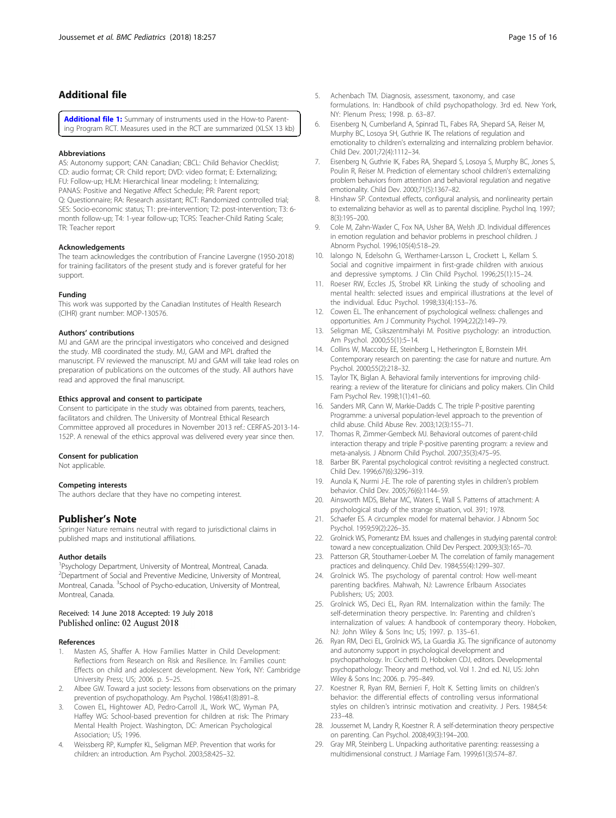# <span id="page-14-0"></span>Additional file

[Additional file 1:](https://doi.org/10.1186/s12887-018-1227-3) Summary of instruments used in the How-to Parenting Program RCT. Measures used in the RCT are summarized (XLSX 13 kb)

### Abbreviations

AS: Autonomy support; CAN: Canadian; CBCL: Child Behavior Checklist; CD: audio format; CR: Child report; DVD: video format; E: Externalizing; FU: Follow-up; HLM: Hierarchical linear modeling; I: Internalizing; PANAS: Positive and Negative Affect Schedule; PR: Parent report; Q: Questionnaire; RA: Research assistant; RCT: Randomized controlled trial; SES: Socio-economic status; T1: pre-intervention; T2: post-intervention; T3: 6 month follow-up; T4: 1-year follow-up; TCRS: Teacher-Child Rating Scale; TR: Teacher report

### Acknowledgements

The team acknowledges the contribution of Francine Lavergne (1950-2018) for training facilitators of the present study and is forever grateful for her support.

### Funding

This work was supported by the Canadian Institutes of Health Research (CIHR) grant number: MOP-130576.

### Authors' contributions

MJ and GAM are the principal investigators who conceived and designed the study. MB coordinated the study. MJ, GAM and MPL drafted the manuscript. FV reviewed the manuscript. MJ and GAM will take lead roles on preparation of publications on the outcomes of the study. All authors have read and approved the final manuscript.

### Ethics approval and consent to participate

Consent to participate in the study was obtained from parents, teachers, facilitators and children. The University of Montreal Ethical Research Committee approved all procedures in November 2013 ref.: CERFAS-2013-14- 152P. A renewal of the ethics approval was delivered every year since then.

### Consent for publication

Not applicable.

### Competing interests

The authors declare that they have no competing interest.

### Publisher's Note

Springer Nature remains neutral with regard to jurisdictional claims in published maps and institutional affiliations.

### Author details

<sup>1</sup> Psychology Department, University of Montreal, Montreal, Canada. <sup>2</sup> Department of Social and Preventive Medicine, University of Montreal, Montreal, Canada. <sup>3</sup>School of Psycho-education, University of Montreal, Montreal, Canada.

### Received: 14 June 2018 Accepted: 19 July 2018 Published online: 02 August 2018

### References

- Masten AS, Shaffer A. How Families Matter in Child Development: Reflections from Research on Risk and Resilience. In: Families count: Effects on child and adolescent development. New York, NY: Cambridge University Press; US; 2006. p. 5–25.
- 2. Albee GW. Toward a just society: lessons from observations on the primary prevention of psychopathology. Am Psychol. 1986;41(8):891–8.
- 3. Cowen EL, Hightower AD, Pedro-Carroll JL, Work WC, Wyman PA, Haffey WG: School-based prevention for children at risk: The Primary Mental Health Project. Washington, DC: American Psychological Association; US; 1996.
- 4. Weissberg RP, Kumpfer KL, Seligman MEP. Prevention that works for children: an introduction. Am Psychol. 2003;58:425–32.
- 5. Achenbach TM. Diagnosis, assessment, taxonomy, and case formulations. In: Handbook of child psychopathology. 3rd ed. New York, NY: Plenum Press; 1998. p. 63–87.
- 6. Eisenberg N, Cumberland A, Spinrad TL, Fabes RA, Shepard SA, Reiser M, Murphy BC, Losoya SH, Guthrie IK. The relations of regulation and emotionality to children's externalizing and internalizing problem behavior. Child Dev. 2001;72(4):1112–34.
- 7. Eisenberg N, Guthrie IK, Fabes RA, Shepard S, Losoya S, Murphy BC, Jones S, Poulin R, Reiser M. Prediction of elementary school children's externalizing problem behaviors from attention and behavioral regulation and negative emotionality. Child Dev. 2000;71(5):1367–82.
- 8. Hinshaw SP. Contextual effects, configural analysis, and nonlinearity pertain to externalizing behavior as well as to parental discipline. Psychol Inq. 1997; 8(3):195–200.
- 9. Cole M, Zahn-Waxler C, Fox NA, Usher BA, Welsh JD. Individual differences in emotion regulation and behavior problems in preschool children. J Abnorm Psychol. 1996;105(4):518–29.
- 10. Ialongo N, Edelsohn G, Werthamer-Larsson L, Crockett L, Kellam S. Social and cognitive impairment in first-grade children with anxious and depressive symptoms. J Clin Child Psychol. 1996;25(1):15–24.
- 11. Roeser RW, Eccles JS, Strobel KR. Linking the study of schooling and mental health: selected issues and empirical illustrations at the level of the individual. Educ Psychol. 1998;33(4):153–76.
- 12. Cowen EL. The enhancement of psychological wellness: challenges and opportunities. Am J Community Psychol. 1994;22(2):149–79.
- 13. Seligman ME, Csikszentmihalyi M. Positive psychology: an introduction. Am Psychol. 2000;55(1):5–14.
- 14. Collins W, Maccoby EE, Steinberg L, Hetherington E, Bornstein MH. Contemporary research on parenting: the case for nature and nurture. Am Psychol. 2000;55(2):218–32.
- 15. Taylor TK, Biglan A. Behavioral family interventions for improving childrearing: a review of the literature for clinicians and policy makers. Clin Child Fam Psychol Rev. 1998;1(1):41–60.
- 16. Sanders MR, Cann W, Markie-Dadds C. The triple P-positive parenting Programme: a universal population-level approach to the prevention of child abuse. Child Abuse Rev. 2003;12(3):155–71.
- 17. Thomas R, Zimmer-Gembeck MJ. Behavioral outcomes of parent-child interaction therapy and triple P-positive parenting program: a review and meta-analysis. J Abnorm Child Psychol. 2007;35(3):475–95.
- 18. Barber BK. Parental psychological control: revisiting a neglected construct. Child Dev. 1996;67(6):3296–319.
- 19. Aunola K, Nurmi J-E. The role of parenting styles in children's problem behavior. Child Dev. 2005;76(6):1144–59.
- 20. Ainsworth MDS, Blehar MC, Waters E, Wall S. Patterns of attachment: A psychological study of the strange situation, vol. 391; 1978.
- 21. Schaefer ES. A circumplex model for maternal behavior. J Abnorm Soc Psychol. 1959;59(2):226–35.
- 22. Grolnick WS, Pomerantz EM. Issues and challenges in studying parental control: toward a new conceptualization. Child Dev Perspect. 2009;3(3):165–70.
- 23. Patterson GR, Stouthamer-Loeber M. The correlation of family management practices and delinquency. Child Dev. 1984;55(4):1299–307.
- 24. Grolnick WS. The psychology of parental control: How well-meant parenting backfires. Mahwah, NJ: Lawrence Erlbaum Associates Publishers; US; 2003.
- 25. Grolnick WS, Deci EL, Ryan RM. Internalization within the family: The self-determination theory perspective. In: Parenting and children's internalization of values: A handbook of contemporary theory. Hoboken, NJ: John Wiley & Sons Inc; US; 1997. p. 135–61.
- 26. Ryan RM, Deci EL, Grolnick WS, La Guardia JG. The significance of autonomy and autonomy support in psychological development and psychopathology. In: Cicchetti D, Hoboken CDJ, editors. Developmental psychopathology: Theory and method, vol. Vol 1. 2nd ed. NJ, US: John Wiley & Sons Inc; 2006. p. 795–849.
- 27. Koestner R, Ryan RM, Bernieri F, Holt K. Setting limits on children's behavior: the differential effects of controlling versus informational styles on children's intrinsic motivation and creativity. J Pers. 1984;54: 233–48.
- 28. Joussemet M, Landry R, Koestner R. A self-determination theory perspective on parenting. Can Psychol. 2008;49(3):194–200.
- 29. Gray MR, Steinberg L. Unpacking authoritative parenting: reassessing a multidimensional construct. J Marriage Fam. 1999;61(3):574–87.